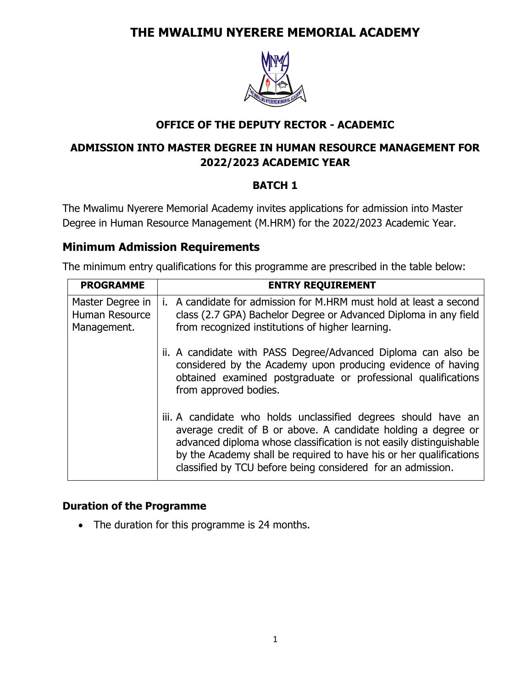# **THE MWALIMU NYERERE MEMORIAL ACADEMY**



## **OFFICE OF THE DEPUTY RECTOR - ACADEMIC**

## **ADMISSION INTO MASTER DEGREE IN HUMAN RESOURCE MANAGEMENT FOR 2022/2023 ACADEMIC YEAR**

#### **BATCH 1**

The Mwalimu Nyerere Memorial Academy invites applications for admission into Master Degree in Human Resource Management (M.HRM) for the 2022/2023 Academic Year.

## **Minimum Admission Requirements**

The minimum entry qualifications for this programme are prescribed in the table below:

| <b>PROGRAMME</b>                                  | <b>ENTRY REQUIREMENT</b>                                                                                                                                                                                                                                                                                                                    |
|---------------------------------------------------|---------------------------------------------------------------------------------------------------------------------------------------------------------------------------------------------------------------------------------------------------------------------------------------------------------------------------------------------|
| Master Degree in<br>Human Resource<br>Management. | i. A candidate for admission for M.HRM must hold at least a second<br>class (2.7 GPA) Bachelor Degree or Advanced Diploma in any field<br>from recognized institutions of higher learning.                                                                                                                                                  |
|                                                   | ii. A candidate with PASS Degree/Advanced Diploma can also be<br>considered by the Academy upon producing evidence of having<br>obtained examined postgraduate or professional qualifications<br>from approved bodies.                                                                                                                      |
|                                                   | iii. A candidate who holds unclassified degrees should have an<br>average credit of B or above. A candidate holding a degree or<br>advanced diploma whose classification is not easily distinguishable<br>by the Academy shall be required to have his or her qualifications<br>classified by TCU before being considered for an admission. |

#### **Duration of the Programme**

• The duration for this programme is 24 months.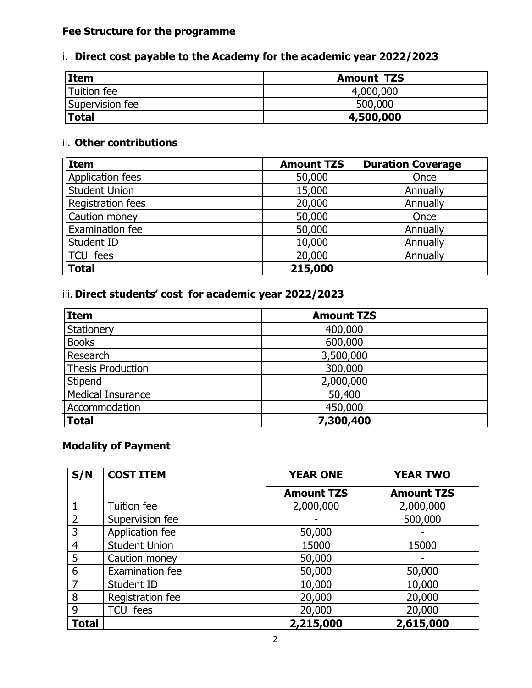# **Fee Structure for the programme**

# i. **Direct cost payable to the Academy for the academic year 2022/2023**

| <b>Item</b>        | <b>Amount TZS</b> |
|--------------------|-------------------|
| <b>Tuition fee</b> | 4,000,000         |
| Supervision fee    | 500,000           |
| <b>Total</b>       | 4,500,000         |

## ii. **Other contributions**

| <b>Item</b>          | <b>Amount TZS</b> | <b>Duration Coverage</b> |
|----------------------|-------------------|--------------------------|
| Application fees     | 50,000            | Once                     |
| <b>Student Union</b> | 15,000            | Annually                 |
| Registration fees    | 20,000            | Annually                 |
| Caution money        | 50,000            | Once                     |
| Examination fee      | 50,000            | Annually                 |
| Student ID           | 10,000            | Annually                 |
| TCU fees             | 20,000            | Annually                 |
| <b>Total</b>         | 215,000           |                          |

# iii. **Direct students' cost for academic year 2022/2023**

| <b>Item</b>              | <b>Amount TZS</b> |
|--------------------------|-------------------|
| Stationery               | 400,000           |
| <b>Books</b>             | 600,000           |
| Research                 | 3,500,000         |
| <b>Thesis Production</b> | 300,000           |
| Stipend                  | 2,000,000         |
| <b>Medical Insurance</b> | 50,400            |
| Accommodation            | 450,000           |
| <b>Total</b>             | 7,300,400         |

#### **Modality of Payment**

| S/N            | <b>COST ITEM</b>     | <b>YEAR ONE</b>   | <b>YEAR TWO</b>   |
|----------------|----------------------|-------------------|-------------------|
|                |                      | <b>Amount TZS</b> | <b>Amount TZS</b> |
|                | Tuition fee          | 2,000,000         | 2,000,000         |
| $\overline{2}$ | Supervision fee      |                   | 500,000           |
| 3              | Application fee      | 50,000            |                   |
| 4              | <b>Student Union</b> | 15000             | 15000             |
| 5              | Caution money        | 50,000            |                   |
| 6              | Examination fee      | 50,000            | 50,000            |
| 7              | Student ID           | 10,000            | 10,000            |
| 8              | Registration fee     | 20,000            | 20,000            |
| 9              | TCU fees             | 20,000            | 20,000            |
| <b>Total</b>   |                      | 2,215,000         | 2,615,000         |